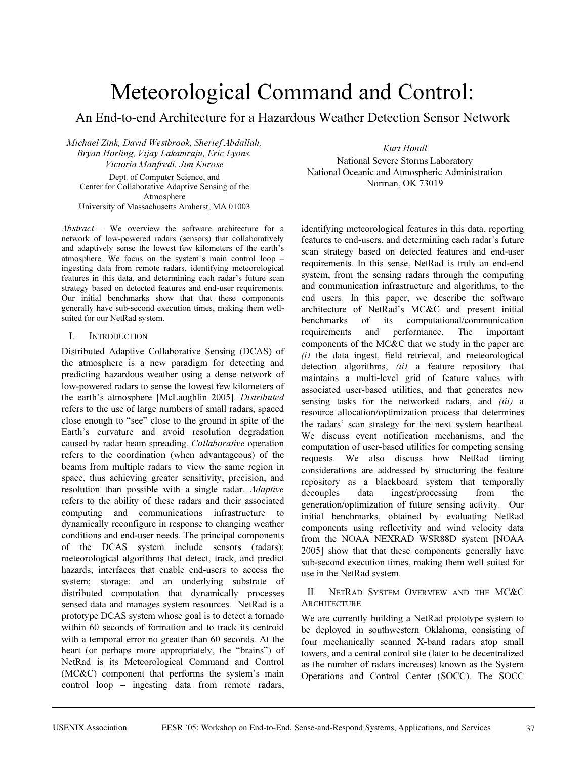# Meteorological Command and Control:

An End-to-end Architecture for a Hazardous Weather Detection Sensor Network

*Michael Zink, David Westbrook, Sherief Abdallah, Bryan Horling, Vijay Lakamraju, Eric Lyons, Victoria Manfredi, Jim Kurose* Dept. of Computer Science, and Center for Collaborative Adaptive Sensing of the Atmosphere University of Massachusetts Amherst, MA 01003

*Abstract*— We overview the software architecture for a network of low-powered radars (sensors) that collaboratively and adaptively sense the lowest few kilometers of the earth's atmosphere. We focus on the system's main control loop – ingesting data from remote radars, identifying meteorological features in this data, and determining each radar's future scan strategy based on detected features and end-user requirements. Our initial benchmarks show that that these components generally have sub-second execution times, making them wellsuited for our NetRad system.

## I. INTRODUCTION

Distributed Adaptive Collaborative Sensing (DCAS) of the atmosphere is a new paradigm for detecting and predicting hazardous weather using a dense network of low-powered radars to sense the lowest few kilometers of the earth's atmosphere [McLaughlin 2005]. *Distributed* refers to the use of large numbers of small radars, spaced close enough to "see" close to the ground in spite of the Earth's curvature and avoid resolution degradation caused by radar beam spreading. *Collaborative* operation refers to the coordination (when advantageous) of the beams from multiple radars to view the same region in space, thus achieving greater sensitivity, precision, and resolution than possible with a single radar. *Adaptive*  refers to the ability of these radars and their associated computing and communications infrastructure to dynamically reconfigure in response to changing weather conditions and end-user needs. The principal components of the DCAS system include sensors (radars); meteorological algorithms that detect, track, and predict hazards; interfaces that enable end-users to access the system; storage; and an underlying substrate of distributed computation that dynamically processes sensed data and manages system resources. NetRad is a prototype DCAS system whose goal is to detect a tornado within 60 seconds of formation and to track its centroid with a temporal error no greater than 60 seconds. At the heart (or perhaps more appropriately, the "brains") of NetRad is its Meteorological Command and Control (MC&C) component that performs the system's main control loop – ingesting data from remote radars,

*Kurt Hondl*

National Severe Storms Laboratory National Oceanic and Atmospheric Administration Norman, OK 73019

identifying meteorological features in this data, reporting features to end-users, and determining each radar's future scan strategy based on detected features and end-user requirements. In this sense, NetRad is truly an end-end system, from the sensing radars through the computing and communication infrastructure and algorithms, to the end users. In this paper, we describe the software architecture of NetRad's MC&C and present initial benchmarks of its computational/communication requirements and performance. The important components of the MC&C that we study in the paper are *(i)* the data ingest, field retrieval, and meteorological detection algorithms, *(ii)* a feature repository that maintains a multi-level grid of feature values with associated user-based utilities, and that generates new sensing tasks for the networked radars, and *(iii)* a resource allocation/optimization process that determines the radars' scan strategy for the next system heartbeat. We discuss event notification mechanisms, and the computation of user-based utilities for competing sensing requests. We also discuss how NetRad timing considerations are addressed by structuring the feature repository as a blackboard system that temporally decouples data ingest/processing from the generation/optimization of future sensing activity. Our initial benchmarks, obtained by evaluating NetRad components using reflectivity and wind velocity data from the NOAA NEXRAD WSR88D system [NOAA 2005] show that that these components generally have sub-second execution times, making them well suited for use in the NetRad system.

# II. NETRAD SYSTEM OVERVIEW AND THE MC&C ARCHITECTURE.

We are currently building a NetRad prototype system to be deployed in southwestern Oklahoma, consisting of four mechanically scanned X-band radars atop small towers, and a central control site (later to be decentralized as the number of radars increases) known as the System Operations and Control Center (SOCC). The SOCC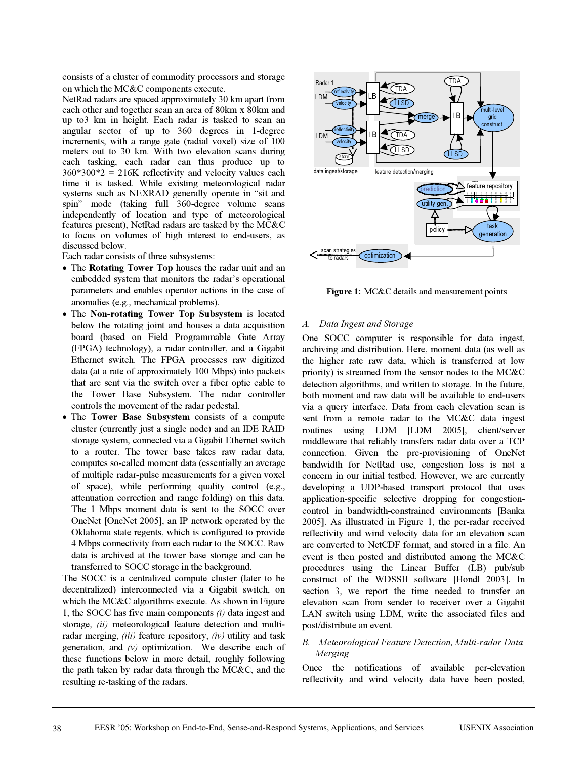consists of a cluster of commodity processors and storage on which the MC&C components execute.

NetRad radars are spaced approximately 30 km apart from each other and together scan an area of 80km x 80km and up to3 km in height. Each radar is tasked to scan an angular sector of up to 360 degrees in 1-degree increments, with a range gate (radial voxel) size of 100 meters out to 30 km. With two elevation scans during each tasking, each radar can thus produce up to  $360*300*2 = 216K$  reflectivity and velocity values each time it is tasked. While existing meteorological radar systems such as NEXRAD generally operate in "sit and spin" mode (taking full 360-degree volume scans independently of location and type of meteorological features present), NetRad radars are tasked by the MC&C to focus on volumes of high interest to end-users, as discussed below.

Each radar consists of three subsystems:

- The **Rotating Tower Top** houses the radar unit and an embedded system that monitors the radar's operational parameters and enables operator actions in the case of anomalies (e.g., mechanical problems).
- x The **Non-rotating Tower Top Subsystem** is located below the rotating joint and houses a data acquisition board (based on Field Programmable Gate Array (FPGA) technology), a radar controller, and a Gigabit Ethernet switch. The FPGA processes raw digitized data (at a rate of approximately 100 Mbps) into packets that are sent via the switch over a fiber optic cable to the Tower Base Subsystem. The radar controller controls the movement of the radar pedestal.
- The **Tower Base Subsystem** consists of a compute cluster (currently just a single node) and an IDE RAID storage system, connected via a Gigabit Ethernet switch to a router. The tower base takes raw radar data, computes so-called moment data (essentially an average of multiple radar-pulse measurements for a given voxel of space), while performing quality control (e.g., attenuation correction and range folding) on this data. The 1 Mbps moment data is sent to the SOCC over OneNet [OneNet 2005], an IP network operated by the Oklahoma state regents, which is configured to provide 4 Mbps connectivity from each radar to the SOCC. Raw data is archived at the tower base storage and can be transferred to SOCC storage in the background.

The SOCC is a centralized compute cluster (later to be decentralized) interconnected via a Gigabit switch, on which the MC&C algorithms execute. As shown in Figure 1, the SOCC has five main components *(i)* data ingest and storage, *(ii)* meteorological feature detection and multiradar merging, *(iii)* feature repository, *(iv)* utility and task generation, and  $(v)$  optimization. We describe each of these functions below in more detail, roughly following the path taken by radar data through the MC&C, and the resulting re-tasking of the radars.



**Figure 1:** MC&C details and measurement points

# *A. Data Ingest and Storage*

One SOCC computer is responsible for data ingest, archiving and distribution. Here, moment data (as well as the higher rate raw data, which is transferred at low priority) is streamed from the sensor nodes to the MC&C detection algorithms, and written to storage. In the future, both moment and raw data will be available to end-users via a query interface. Data from each elevation scan is sent from a remote radar to the MC&C data ingest routines using LDM [LDM 2005], client/server middleware that reliably transfers radar data over a TCP connection. Given the pre-provisioning of OneNet bandwidth for NetRad use, congestion loss is not a concern in our initial testbed. However, we are currently developing a UDP-based transport protocol that uses application-specific selective dropping for congestioncontrol in bandwidth-constrained environments [Banka 2005]. As illustrated in Figure 1, the per-radar received reflectivity and wind velocity data for an elevation scan are converted to NetCDF format, and stored in a file. An event is then posted and distributed among the MC&C procedures using the Linear Buffer (LB) pub/sub construct of the WDSSII software [Hondl 2003]. In section 3, we report the time needed to transfer an elevation scan from sender to receiver over a Gigabit LAN switch using LDM, write the associated files and post/distribute an event.

# *B. Meteorological Feature Detection, Multi-radar Data Merging*

Once the notifications of available per-elevation reflectivity and wind velocity data have been posted,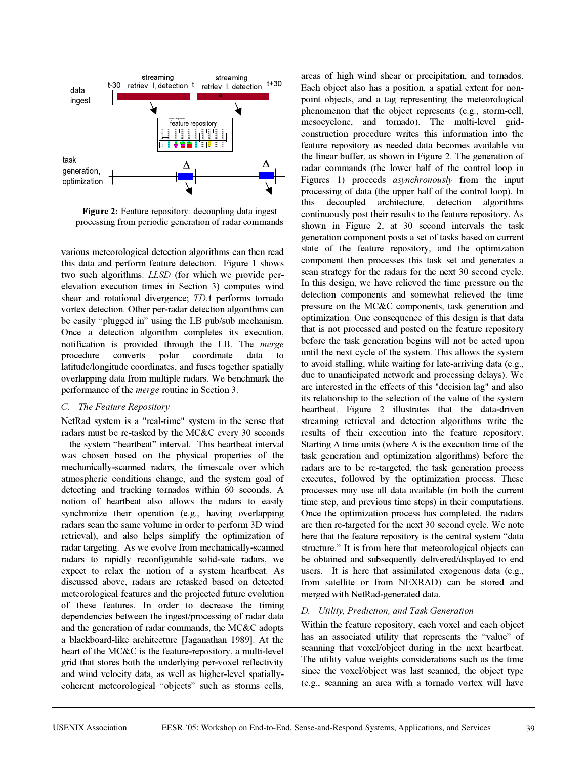

**Figure 2:** Feature repository: decoupling data ingest processing from periodic generation of radar commands

various meteorological detection algorithms can then read this data and perform feature detection. Figure 1 shows two such algorithms: *LLSD* (for which we provide perelevation execution times in Section 3) computes wind shear and rotational divergence; *TDA* performs tornado vortex detection. Other per-radar detection algorithms can be easily "plugged in" using the LB pub/sub mechanism. Once a detection algorithm completes its execution, notification is provided through the LB. The *merge* procedure converts polar coordinate data to latitude/longitude coordinates, and fuses together spatially overlapping data from multiple radars. We benchmark the performance of the *merge* routine in Section 3.

## *C. The Feature Repository*

NetRad system is a "real-time" system in the sense that radars must be re-tasked by the MC&C every 30 seconds – the system "heartbeat" interval. This heartbeat interval was chosen based on the physical properties of the mechanically-scanned radars, the timescale over which atmospheric conditions change, and the system goal of detecting and tracking tornados within 60 seconds. A notion of heartbeat also allows the radars to easily synchronize their operation (e.g., having overlapping radars scan the same volume in order to perform 3D wind retrieval), and also helps simplify the optimization of radar targeting. As we evolve from mechanically-scanned radars to rapidly reconfigurable solid-sate radars, we expect to relax the notion of a system heartbeat. As discussed above, radars are retasked based on detected meteorological features and the projected future evolution of these features. In order to decrease the timing dependencies between the ingest/processing of radar data and the generation of radar commands, the MC&C adopts a blackboard-like architecture [Jaganathan 1989]. At the heart of the MC&C is the feature-repository, a multi-level grid that stores both the underlying per-voxel reflectivity and wind velocity data, as well as higher-level spatiallycoherent meteorological "objects" such as storms cells, areas of high wind shear or precipitation, and tornados. Each object also has a position, a spatial extent for nonpoint objects, and a tag representing the meteorological phenomenon that the object represents (e.g., storm-cell, mesocyclone, and tornado). The multi-level gridconstruction procedure writes this information into the feature repository as needed data becomes available via the linear buffer, as shown in Figure 2. The generation of radar commands (the lower half of the control loop in Figures 1) proceeds *asynchronously* from the input processing of data (the upper half of the control loop). In this decoupled architecture, detection algorithms continuously post their results to the feature repository. As shown in Figure 2, at 30 second intervals the task generation component posts a set of tasks based on current state of the feature repository, and the optimization component then processes this task set and generates a scan strategy for the radars for the next 30 second cycle. In this design, we have relieved the time pressure on the detection components and somewhat relieved the time pressure on the MC&C components, task generation and optimization. One consequence of this design is that data that is not processed and posted on the feature repository before the task generation begins will not be acted upon until the next cycle of the system. This allows the system to avoid stalling, while waiting for late-arriving data (e.g., due to unanticipated network and processing delays). We are interested in the effects of this "decision lag" and also its relationship to the selection of the value of the system heartbeat. Figure 2 illustrates that the data-driven streaming retrieval and detection algorithms write the results of their execution into the feature repository. Starting  $\Delta$  time units (where  $\Delta$  is the execution time of the task generation and optimization algorithms) before the radars are to be re-targeted, the task generation process executes, followed by the optimization process. These processes may use all data available (in both the current time step, and previous time steps) in their computations. Once the optimization process has completed, the radars are then re-targeted for the next 30 second cycle. We note here that the feature repository is the central system "data structure." It is from here that meteorological objects can be obtained and subsequently delivered/displayed to end users. It is here that assimilated exogenous data (e.g., from satellite or from NEXRAD) can be stored and merged with NetRad-generated data.

#### *D. Utility, Prediction, and Task Generation*

Within the feature repository, each voxel and each object has an associated utility that represents the "value" of scanning that voxel/object during in the next heartbeat. The utility value weights considerations such as the time since the voxel/object was last scanned, the object type (e.g., scanning an area with a tornado vortex will have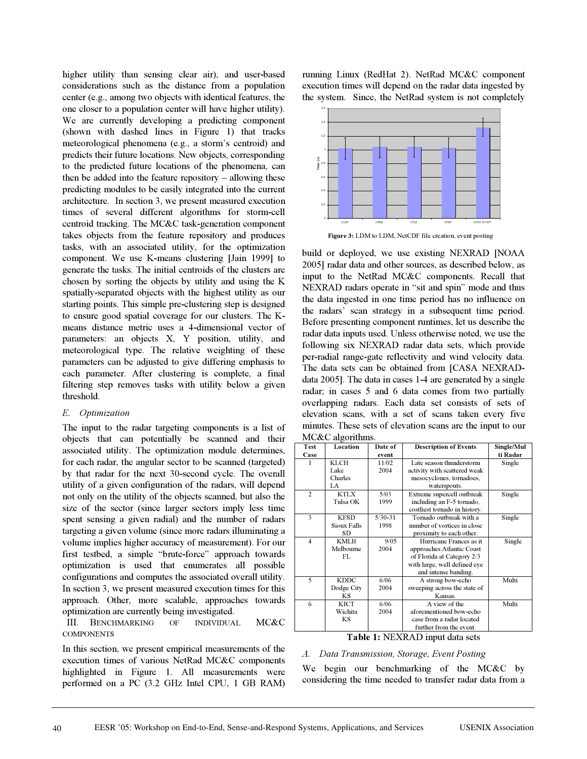higher utility than sensing clear air), and user-based considerations such as the distance from a population center (e.g., among two objects with identical features, the one closer to a population center will have higher utility). We are currently developing a predicting component (shown with dashed lines in Figure 1) that tracks meteorological phenomena (e.g., a storm's centroid) and predicts their future locations. New objects, corresponding to the predicted future locations of the phenomena, can then be added into the feature repository – allowing these predicting modules to be easily integrated into the current architecture. In section 3, we present measured execution times of several different algorithms for storm-cell centroid tracking. The MC&C task-generation component takes objects from the feature repository and produces tasks, with an associated utility, for the optimization component. We use K-means clustering [Jain 1999] to generate the tasks. The initial centroids of the clusters are chosen by sorting the objects by utility and using the K spatially-separated objects with the highest utility as our starting points. This simple pre-clustering step is designed to ensure good spatial coverage for our clusters. The Kmeans distance metric uses a 4-dimensional vector of parameters: an objects X, Y position, utility, and meteorological type. The relative weighting of these parameters can be adjusted to give differing emphasis to each parameter. After clustering is complete, a final filtering step removes tasks with utility below a given threshold.

## *E. Optimization*

The input to the radar targeting components is a list of objects that can potentially be scanned and their associated utility. The optimization module determines, for each radar, the angular sector to be scanned (targeted) by that radar for the next 30-second cycle. The overall utility of a given configuration of the radars, will depend not only on the utility of the objects scanned, but also the size of the sector (since larger sectors imply less time spent sensing a given radial) and the number of radars targeting a given volume (since more radars illuminating a volume implies higher accuracy of measurement). For our first testbed, a simple "brute-force" approach towards optimization is used that enumerates all possible configurations and computes the associated overall utility. In section 3, we present measured execution times for this approach. Other, more scalable, approaches towards optimization are currently being investigated.

## III. BENCHMARKING OF INDIVIDUAL MC&C **COMPONENTS**

In this section, we present empirical measurements of the execution times of various NetRad MC&C components highlighted in Figure 1. All measurements were performed on a PC (3.2 GHz Intel CPU, 1 GB RAM)

running Linux (RedHat 2). NetRad MC&C component execution times will depend on the radar data ingested by the system. Since, the NetRad system is not completely



**Figure 3:** LDM to LDM, NetCDF file creation, event posting

build or deployed, we use existing NEXRAD [NOAA 2005] radar data and other sources, as described below, as input to the NetRad MC&C components. Recall that NEXRAD radars operate in "sit and spin" mode and thus the data ingested in one time period has no influence on the radars' scan strategy in a subsequent time period. Before presenting component runtimes, let us describe the radar data inputs used. Unless otherwise noted, we use the following six NEXRAD radar data sets, which provide per-radial range-gate reflectivity and wind velocity data. The data sets can be obtained from [CASA NEXRADdata 2005]. The data in cases 1-4 are generated by a single radar; in cases 5 and 6 data comes from two partially overlapping radars. Each data set consists of sets of elevation scans, with a set of scans taken every five minutes. These sets of elevation scans are the input to our MC&C algorithms.

| <b>Test</b>                 | Location           | Date of     | <b>Description of Events</b>  | Single/Mul |
|-----------------------------|--------------------|-------------|-------------------------------|------------|
| Case                        |                    | event       |                               | ti Radar   |
| 1                           | <b>KLCH</b>        | 11/02       | Late season thunderstorm      | Single     |
|                             | Lake               | 2004        | activity with scattered weak  |            |
|                             | Charles            |             | mesocyclones, tornadoes,      |            |
|                             | LA                 |             | waterspouts.                  |            |
| $\overline{2}$              | <b>KTLX</b>        | 5/03        | Extreme supercell outbreak    | Single     |
|                             | Tulsa OK           | 1999        | including an F-5 tornado.     |            |
|                             |                    |             | costliest tornado in history. |            |
| 3                           | <b>KFSD</b>        | $5/30 - 31$ | Tornado outbreak with a       | Single     |
|                             | <b>Sioux Falls</b> | 1998        | number of vortices in close   |            |
|                             | SD.                |             | proximity to each other.      |            |
| $\overline{4}$              | <b>KMLB</b>        | 9/05        | Hurricane Frances as it       | Single     |
|                             | Melbourne          | 2004        | approaches Atlantic Coast     |            |
|                             | FL                 |             | of Florida at Category 2/3    |            |
|                             |                    |             | with large, well defined eye  |            |
|                             |                    |             | and intense banding.          |            |
| 5                           | <b>KDDC</b>        | 6/06        | A strong bow-echo             | Multi      |
|                             | Dodge City         | 2004        | sweeping across the state of  |            |
|                             | <b>KS</b>          |             | Kansas.                       |            |
| 6                           | <b>KICT</b>        | 6/06        | A view of the                 | Multi      |
|                             | Wichita            | 2004        | aforementioned bow-echo       |            |
|                             | <b>KS</b>          |             | case from a radar located     |            |
|                             |                    |             | further from the event.       |            |
| $\overline{1}$<br>m.<br>. . |                    |             |                               |            |

#### **Table 1:** NEXRAD input data sets

# *A. Data Transmission, Storage, Event Posting*

We begin our benchmarking of the MC&C by considering the time needed to transfer radar data from a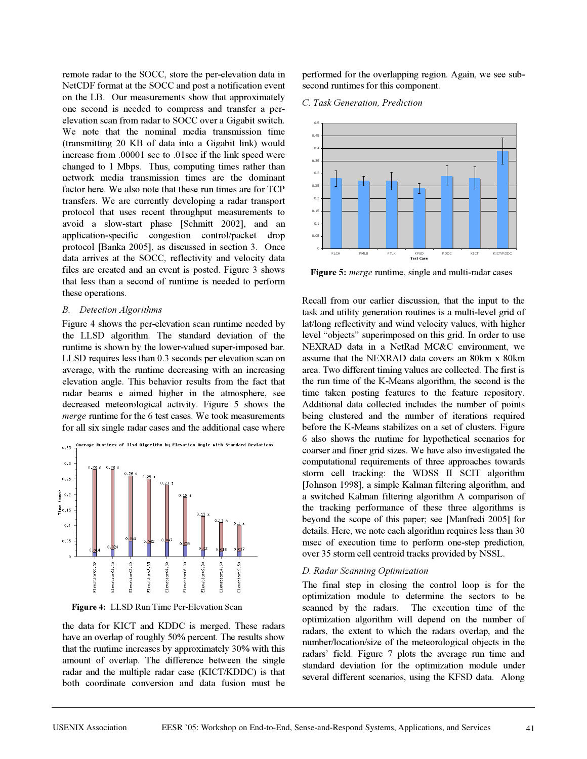remote radar to the SOCC, store the per-elevation data in NetCDF format at the SOCC and post a notification event on the LB. Our measurements show that approximately one second is needed to compress and transfer a perelevation scan from radar to SOCC over a Gigabit switch. We note that the nominal media transmission time (transmitting 20 KB of data into a Gigabit link) would increase from .00001 sec to .01sec if the link speed were changed to 1 Mbps. Thus, computing times rather than network media transmission times are the dominant factor here. We also note that these run times are for TCP transfers. We are currently developing a radar transport protocol that uses recent throughput measurements to avoid a slow-start phase [Schmitt 2002], and an application-specific congestion control/packet drop protocol [Banka 2005], as discussed in section 3. Once data arrives at the SOCC, reflectivity and velocity data files are created and an event is posted. Figure 3 shows that less than a second of runtime is needed to perform these operations.

# *B. Detection Algorithms*

Figure 4 shows the per-elevation scan runtime needed by the LLSD algorithm. The standard deviation of the runtime is shown by the lower-valued super-imposed bar. LLSD requires less than 0.3 seconds per elevation scan on average, with the runtime decreasing with an increasing elevation angle. This behavior results from the fact that radar beams e aimed higher in the atmosphere, see decreased meteorological activity. Figure 5 shows the *merge* runtime for the 6 test cases. We took measurements for all six single radar cases and the additional case where



**Figure 4:** LLSD Run Time Per-Elevation Scan

the data for KICT and KDDC is merged. These radars have an overlap of roughly 50% percent. The results show that the runtime increases by approximately 30% with this amount of overlap. The difference between the single radar and the multiple radar case (KICT/KDDC) is that both coordinate conversion and data fusion must be

performed for the overlapping region. Again, we see subsecond runtimes for this component.

#### *C. Task Generation, Prediction*



**Figure 5:** *merge* runtime, single and multi-radar cases

Recall from our earlier discussion, that the input to the task and utility generation routines is a multi-level grid of lat/long reflectivity and wind velocity values, with higher level "objects" superimposed on this grid. In order to use NEXRAD data in a NetRad MC&C environment, we assume that the NEXRAD data covers an 80km x 80km area. Two different timing values are collected. The first is the run time of the K-Means algorithm, the second is the time taken posting features to the feature repository. Additional data collected includes the number of points being clustered and the number of iterations required before the K-Means stabilizes on a set of clusters. Figure 6 also shows the runtime for hypothetical scenarios for coarser and finer grid sizes. We have also investigated the computational requirements of three approaches towards storm cell tracking: the WDSS II SCIT algorithm [Johnson 1998], a simple Kalman filtering algorithm, and a switched Kalman filtering algorithm A comparison of the tracking performance of these three algorithms is beyond the scope of this paper; see [Manfredi 2005] for details. Here, we note each algorithm requires less than 30 msec of execution time to perform one-step prediction, over 35 storm cell centroid tracks provided by NSSL.

#### *D. Radar Scanning Optimization*

The final step in closing the control loop is for the optimization module to determine the sectors to be scanned by the radars. The execution time of the optimization algorithm will depend on the number of radars, the extent to which the radars overlap, and the number/location/size of the meteorological objects in the radars' field. Figure 7 plots the average run time and standard deviation for the optimization module under several different scenarios, using the KFSD data. Along